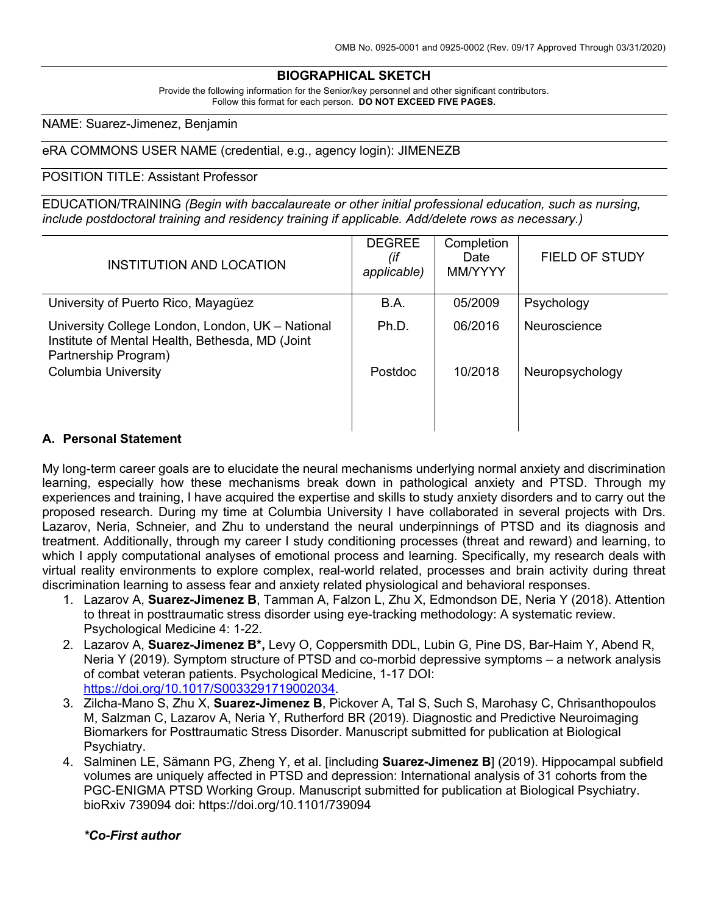## **BIOGRAPHICAL SKETCH**

Provide the following information for the Senior/key personnel and other significant contributors. Follow this format for each person. **DO NOT EXCEED FIVE PAGES.**

NAME: Suarez-Jimenez, Benjamin

#### eRA COMMONS USER NAME (credential, e.g., agency login): JIMENEZB

#### POSITION TITLE: Assistant Professor

EDUCATION/TRAINING *(Begin with baccalaureate or other initial professional education, such as nursing, include postdoctoral training and residency training if applicable. Add/delete rows as necessary.)*

| INSTITUTION AND LOCATION                                                                                                    | <b>DEGREE</b><br>(if<br>applicable) | Completion<br>Date<br>MM/YYYY | <b>FIELD OF STUDY</b> |
|-----------------------------------------------------------------------------------------------------------------------------|-------------------------------------|-------------------------------|-----------------------|
| University of Puerto Rico, Mayagüez                                                                                         | B.A.                                | 05/2009                       | Psychology            |
| University College London, London, UK - National<br>Institute of Mental Health, Bethesda, MD (Joint<br>Partnership Program) | Ph.D.                               | 06/2016                       | Neuroscience          |
| <b>Columbia University</b>                                                                                                  | Postdoc                             | 10/2018                       | Neuropsychology       |
| Business of Atatamana to                                                                                                    |                                     |                               |                       |

#### **A. Personal Statement**

My long-term career goals are to elucidate the neural mechanisms underlying normal anxiety and discrimination learning, especially how these mechanisms break down in pathological anxiety and PTSD. Through my experiences and training, I have acquired the expertise and skills to study anxiety disorders and to carry out the proposed research. During my time at Columbia University I have collaborated in several projects with Drs. Lazarov, Neria, Schneier, and Zhu to understand the neural underpinnings of PTSD and its diagnosis and treatment. Additionally, through my career I study conditioning processes (threat and reward) and learning, to which I apply computational analyses of emotional process and learning. Specifically, my research deals with virtual reality environments to explore complex, real-world related, processes and brain activity during threat discrimination learning to assess fear and anxiety related physiological and behavioral responses.

- 1. Lazarov A, **Suarez-Jimenez B**, Tamman A, Falzon L, Zhu X, Edmondson DE, Neria Y (2018). Attention to threat in posttraumatic stress disorder using eye-tracking methodology: A systematic review. Psychological Medicine 4: 1-22.
- 2. Lazarov A, **Suarez-Jimenez B\*,** Levy O, Coppersmith DDL, Lubin G, Pine DS, Bar-Haim Y, Abend R, Neria Y (2019). Symptom structure of PTSD and co-morbid depressive symptoms – a network analysis of combat veteran patients. Psychological Medicine, 1-17 DOI: https://doi.org/10.1017/S0033291719002034.
- 3. Zilcha-Mano S, Zhu X, **Suarez-Jimenez B**, Pickover A, Tal S, Such S, Marohasy C, Chrisanthopoulos M, Salzman C, Lazarov A, Neria Y, Rutherford BR (2019). Diagnostic and Predictive Neuroimaging Biomarkers for Posttraumatic Stress Disorder. Manuscript submitted for publication at Biological Psychiatry.
- 4. Salminen LE, Sämann PG, Zheng Y, et al. [including **Suarez-Jimenez B**] (2019). Hippocampal subfield volumes are uniquely affected in PTSD and depression: International analysis of 31 cohorts from the PGC-ENIGMA PTSD Working Group. Manuscript submitted for publication at Biological Psychiatry. bioRxiv 739094 doi: https://doi.org/10.1101/739094

#### *\*Co-First author*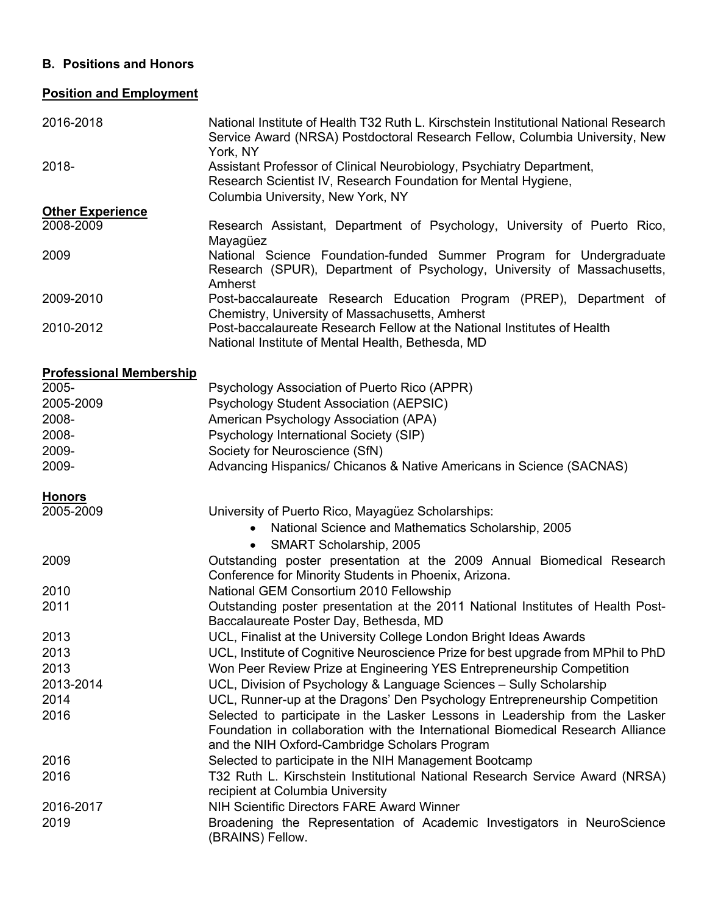## **B. Positions and Honors**

# **Position and Employment**

| 2016-2018                      | National Institute of Health T32 Ruth L. Kirschstein Institutional National Research<br>Service Award (NRSA) Postdoctoral Research Fellow, Columbia University, New<br>York, NY                                 |
|--------------------------------|-----------------------------------------------------------------------------------------------------------------------------------------------------------------------------------------------------------------|
| 2018-                          | Assistant Professor of Clinical Neurobiology, Psychiatry Department,<br>Research Scientist IV, Research Foundation for Mental Hygiene,<br>Columbia University, New York, NY                                     |
| <b>Other Experience</b>        |                                                                                                                                                                                                                 |
| 2008-2009                      | Research Assistant, Department of Psychology, University of Puerto Rico,<br>Mayagüez                                                                                                                            |
| 2009                           | National Science Foundation-funded Summer Program for Undergraduate<br>Research (SPUR), Department of Psychology, University of Massachusetts,<br>Amherst                                                       |
| 2009-2010                      | Post-baccalaureate Research Education Program (PREP), Department of<br>Chemistry, University of Massachusetts, Amherst                                                                                          |
| 2010-2012                      | Post-baccalaureate Research Fellow at the National Institutes of Health<br>National Institute of Mental Health, Bethesda, MD                                                                                    |
| <b>Professional Membership</b> |                                                                                                                                                                                                                 |
| 2005-                          | Psychology Association of Puerto Rico (APPR)                                                                                                                                                                    |
| 2005-2009                      | Psychology Student Association (AEPSIC)                                                                                                                                                                         |
| 2008-                          | American Psychology Association (APA)                                                                                                                                                                           |
| 2008-                          | Psychology International Society (SIP)                                                                                                                                                                          |
| 2009-                          | Society for Neuroscience (SfN)                                                                                                                                                                                  |
| 2009-                          | Advancing Hispanics/ Chicanos & Native Americans in Science (SACNAS)                                                                                                                                            |
| <b>Honors</b>                  |                                                                                                                                                                                                                 |
| 2005-2009                      | University of Puerto Rico, Mayagüez Scholarships:                                                                                                                                                               |
|                                | National Science and Mathematics Scholarship, 2005<br>$\bullet$                                                                                                                                                 |
|                                | SMART Scholarship, 2005                                                                                                                                                                                         |
| 2009                           | Outstanding poster presentation at the 2009 Annual Biomedical Research                                                                                                                                          |
|                                | Conference for Minority Students in Phoenix, Arizona.                                                                                                                                                           |
| 2010                           | National GEM Consortium 2010 Fellowship                                                                                                                                                                         |
| 2011                           | Outstanding poster presentation at the 2011 National Institutes of Health Post-                                                                                                                                 |
|                                | Baccalaureate Poster Day, Bethesda, MD                                                                                                                                                                          |
| 2013                           | UCL, Finalist at the University College London Bright Ideas Awards                                                                                                                                              |
| 2013                           | UCL, Institute of Cognitive Neuroscience Prize for best upgrade from MPhil to PhD                                                                                                                               |
| 2013                           | Won Peer Review Prize at Engineering YES Entrepreneurship Competition                                                                                                                                           |
| 2013-2014                      | UCL, Division of Psychology & Language Sciences - Sully Scholarship                                                                                                                                             |
| 2014                           | UCL, Runner-up at the Dragons' Den Psychology Entrepreneurship Competition                                                                                                                                      |
| 2016                           | Selected to participate in the Lasker Lessons in Leadership from the Lasker<br>Foundation in collaboration with the International Biomedical Research Alliance<br>and the NIH Oxford-Cambridge Scholars Program |
| 2016                           | Selected to participate in the NIH Management Bootcamp                                                                                                                                                          |
| 2016                           | T32 Ruth L. Kirschstein Institutional National Research Service Award (NRSA)<br>recipient at Columbia University                                                                                                |
| 2016-2017                      | NIH Scientific Directors FARE Award Winner                                                                                                                                                                      |
| 2019                           | Broadening the Representation of Academic Investigators in NeuroScience                                                                                                                                         |

(BRAINS) Fellow.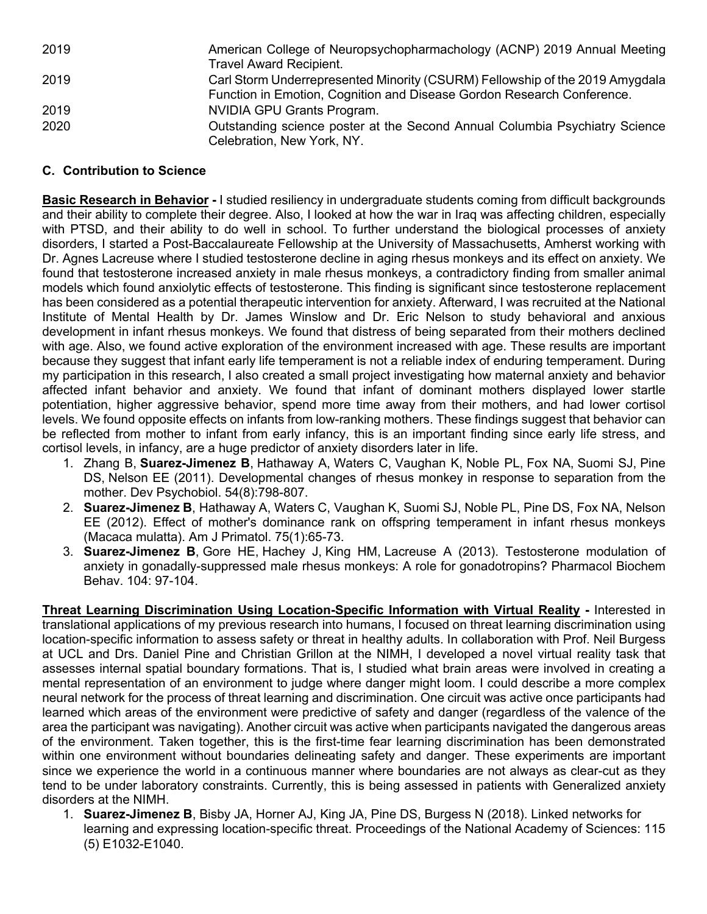| 2019 | American College of Neuropsychopharmachology (ACNP) 2019 Annual Meeting      |
|------|------------------------------------------------------------------------------|
|      | <b>Travel Award Recipient.</b>                                               |
| 2019 | Carl Storm Underrepresented Minority (CSURM) Fellowship of the 2019 Amygdala |
|      | Function in Emotion, Cognition and Disease Gordon Research Conference.       |
| 2019 | NVIDIA GPU Grants Program.                                                   |
| 2020 | Outstanding science poster at the Second Annual Columbia Psychiatry Science  |
|      | Celebration, New York, NY.                                                   |

# **C. Contribution to Science**

**Basic Research in Behavior -** I studied resiliency in undergraduate students coming from difficult backgrounds and their ability to complete their degree. Also, I looked at how the war in Iraq was affecting children, especially with PTSD, and their ability to do well in school. To further understand the biological processes of anxiety disorders, I started a Post-Baccalaureate Fellowship at the University of Massachusetts, Amherst working with Dr. Agnes Lacreuse where I studied testosterone decline in aging rhesus monkeys and its effect on anxiety. We found that testosterone increased anxiety in male rhesus monkeys, a contradictory finding from smaller animal models which found anxiolytic effects of testosterone. This finding is significant since testosterone replacement has been considered as a potential therapeutic intervention for anxiety. Afterward, I was recruited at the National Institute of Mental Health by Dr. James Winslow and Dr. Eric Nelson to study behavioral and anxious development in infant rhesus monkeys. We found that distress of being separated from their mothers declined with age. Also, we found active exploration of the environment increased with age. These results are important because they suggest that infant early life temperament is not a reliable index of enduring temperament. During my participation in this research, I also created a small project investigating how maternal anxiety and behavior affected infant behavior and anxiety. We found that infant of dominant mothers displayed lower startle potentiation, higher aggressive behavior, spend more time away from their mothers, and had lower cortisol levels. We found opposite effects on infants from low-ranking mothers. These findings suggest that behavior can be reflected from mother to infant from early infancy, this is an important finding since early life stress, and cortisol levels, in infancy, are a huge predictor of anxiety disorders later in life.

- 1. Zhang B, **Suarez-Jimenez B**, Hathaway A, Waters C, Vaughan K, Noble PL, Fox NA, Suomi SJ, Pine DS, Nelson EE (2011). Developmental changes of rhesus monkey in response to separation from the mother. Dev Psychobiol. 54(8):798-807.
- 2. **Suarez-Jimenez B**, Hathaway A, Waters C, Vaughan K, Suomi SJ, Noble PL, Pine DS, Fox NA, Nelson EE (2012). Effect of mother's dominance rank on offspring temperament in infant rhesus monkeys (Macaca mulatta). Am J Primatol. 75(1):65-73.
- 3. **Suarez-Jimenez B**, Gore HE, Hachey J, King HM, Lacreuse A (2013). Testosterone modulation of anxiety in gonadally-suppressed male rhesus monkeys: A role for gonadotropins? Pharmacol Biochem Behav. 104: 97-104.

**Threat Learning Discrimination Using Location-Specific Information with Virtual Reality -** Interested in translational applications of my previous research into humans, I focused on threat learning discrimination using location-specific information to assess safety or threat in healthy adults. In collaboration with Prof. Neil Burgess at UCL and Drs. Daniel Pine and Christian Grillon at the NIMH, I developed a novel virtual reality task that assesses internal spatial boundary formations. That is, I studied what brain areas were involved in creating a mental representation of an environment to judge where danger might loom. I could describe a more complex neural network for the process of threat learning and discrimination. One circuit was active once participants had learned which areas of the environment were predictive of safety and danger (regardless of the valence of the area the participant was navigating). Another circuit was active when participants navigated the dangerous areas of the environment. Taken together, this is the first-time fear learning discrimination has been demonstrated within one environment without boundaries delineating safety and danger. These experiments are important since we experience the world in a continuous manner where boundaries are not always as clear-cut as they tend to be under laboratory constraints. Currently, this is being assessed in patients with Generalized anxiety disorders at the NIMH.

1. **Suarez-Jimenez B**, Bisby JA, Horner AJ, King JA, Pine DS, Burgess N (2018). Linked networks for learning and expressing location-specific threat. Proceedings of the National Academy of Sciences: 115 (5) E1032-E1040.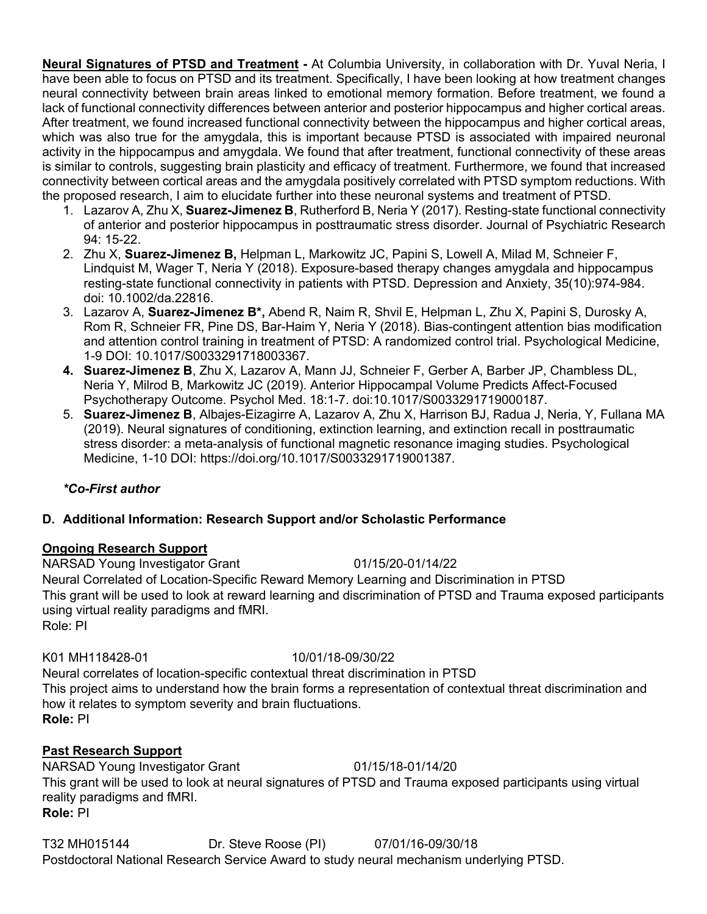**Neural Signatures of PTSD and Treatment -** At Columbia University, in collaboration with Dr. Yuval Neria, I have been able to focus on PTSD and its treatment. Specifically, I have been looking at how treatment changes neural connectivity between brain areas linked to emotional memory formation. Before treatment, we found a lack of functional connectivity differences between anterior and posterior hippocampus and higher cortical areas. After treatment, we found increased functional connectivity between the hippocampus and higher cortical areas, which was also true for the amygdala, this is important because PTSD is associated with impaired neuronal activity in the hippocampus and amygdala. We found that after treatment, functional connectivity of these areas is similar to controls, suggesting brain plasticity and efficacy of treatment. Furthermore, we found that increased connectivity between cortical areas and the amygdala positively correlated with PTSD symptom reductions. With the proposed research, I aim to elucidate further into these neuronal systems and treatment of PTSD.

- 1. Lazarov A, Zhu X, **Suarez-Jimenez B**, Rutherford B, Neria Y (2017). Resting-state functional connectivity of anterior and posterior hippocampus in posttraumatic stress disorder. Journal of Psychiatric Research 94: 15-22.
- 2. Zhu X, **Suarez-Jimenez B,** Helpman L, Markowitz JC, Papini S, Lowell A, Milad M, Schneier F, Lindquist M, Wager T, Neria Y (2018). Exposure-based therapy changes amygdala and hippocampus resting-state functional connectivity in patients with PTSD. Depression and Anxiety, 35(10):974-984. doi: 10.1002/da.22816.
- 3. Lazarov A, **Suarez-Jimenez B\*,** Abend R, Naim R, Shvil E, Helpman L, Zhu X, Papini S, Durosky A, Rom R, Schneier FR, Pine DS, Bar-Haim Y, Neria Y (2018). Bias-contingent attention bias modification and attention control training in treatment of PTSD: A randomized control trial. Psychological Medicine, 1-9 DOI: 10.1017/S0033291718003367.
- **4. Suarez-Jimenez B**, Zhu X, Lazarov A, Mann JJ, Schneier F, Gerber A, Barber JP, Chambless DL, Neria Y, Milrod B, Markowitz JC (2019). Anterior Hippocampal Volume Predicts Affect-Focused Psychotherapy Outcome. Psychol Med. 18:1-7. doi:10.1017/S0033291719000187.
- 5. **Suarez-Jimenez B**, Albajes-Eizagirre A, Lazarov A, Zhu X, Harrison BJ, Radua J, Neria, Y, Fullana MA (2019). Neural signatures of conditioning, extinction learning, and extinction recall in posttraumatic stress disorder: a meta-analysis of functional magnetic resonance imaging studies. Psychological Medicine, 1-10 DOI: https://doi.org/10.1017/S0033291719001387.

# *\*Co-First author*

# **D. Additional Information: Research Support and/or Scholastic Performance**

## **Ongoing Research Support**

NARSAD Young Investigator Grant 01/15/20-01/14/22 Neural Correlated of Location-Specific Reward Memory Learning and Discrimination in PTSD This grant will be used to look at reward learning and discrimination of PTSD and Trauma exposed participants using virtual reality paradigms and fMRI. Role: PI

## K01 MH118428-01 10/01/18-09/30/22

Neural correlates of location-specific contextual threat discrimination in PTSD This project aims to understand how the brain forms a representation of contextual threat discrimination and how it relates to symptom severity and brain fluctuations. **Role:** PI

# **Past Research Support**

NARSAD Young Investigator Grant 01/15/18-01/14/20 This grant will be used to look at neural signatures of PTSD and Trauma exposed participants using virtual reality paradigms and fMRI. **Role:** PI

T32 MH015144 Dr. Steve Roose (PI) 07/01/16-09/30/18 Postdoctoral National Research Service Award to study neural mechanism underlying PTSD.